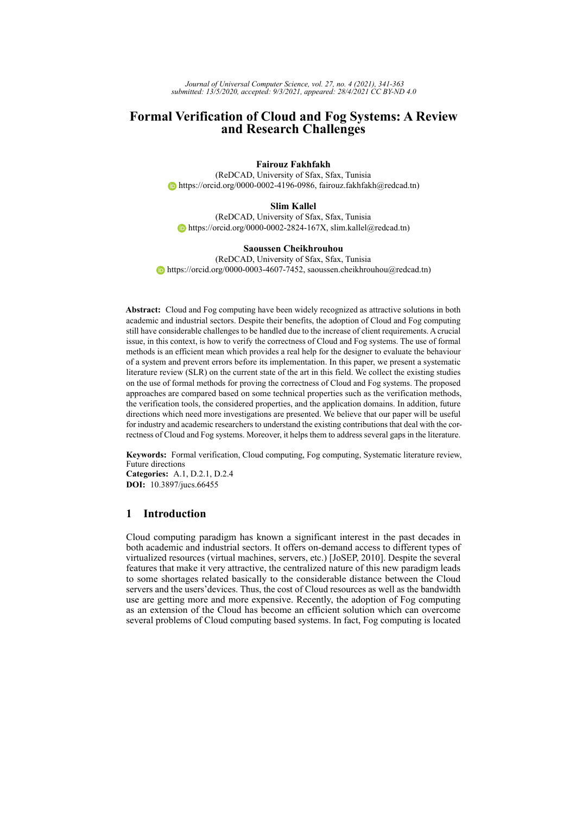*Journal of Universal Computer Science, vol. 27, no. 4 (2021), 341-363 submitted: 13/5/2020, accepted: 9/3/2021, appeared: 28/4/2021 CC BY-ND 4.0*

# **Formal Verification of Cloud and Fog Systems: A Review and Research Challenges**

### **Fairouz Fakhfakh**

(ReDCAD, University of Sfax, Sfax, Tunisia https://orcid.org/0000-0002-4196-0986, fairouz.fakhfakh@redcad.tn)

#### **Slim Kallel**

(ReDCAD, University of Sfax, Sfax, Tunisia  $\bullet$  https://orcid.org/0000-0002-2824-167X, slim.kallel@redcad.tn)

#### **Saoussen Cheikhrouhou**

(ReDCAD, University of Sfax, Sfax, Tunisia  $\bullet$  https://orcid.org/0000-0003-4607-7452, saoussen.cheikhrouhou@redcad.tn)

**Abstract:** Cloud and Fog computing have been widely recognized as attractive solutions in both academic and industrial sectors. Despite their benefits, the adoption of Cloud and Fog computing still have considerable challenges to be handled due to the increase of client requirements. A crucial issue, in this context, is how to verify the correctness of Cloud and Fog systems. The use of formal methods is an efficient mean which provides a real help for the designer to evaluate the behaviour of a system and prevent errors before its implementation. In this paper, we present a systematic literature review (SLR) on the current state of the art in this field. We collect the existing studies on the use of formal methods for proving the correctness of Cloud and Fog systems. The proposed approaches are compared based on some technical properties such as the verification methods, the verification tools, the considered properties, and the application domains. In addition, future directions which need more investigations are presented. We believe that our paper will be useful for industry and academic researchers to understand the existing contributions that deal with the correctness of Cloud and Fog systems. Moreover, it helps them to address several gaps in the literature.

**Keywords:** Formal verification, Cloud computing, Fog computing, Systematic literature review, Future directions **Categories:** A.1, D.2.1, D.2.4 **DOI:** 10.3897/jucs.66455

# **1 Introduction**

Cloud computing paradigm has known a significant interest in the past decades in both academic and industrial sectors. It offers on-demand access to different types of virtualized resources (virtual machines, servers, etc.) [JoSEP, 2010]. Despite the several features that make it very attractive, the centralized nature of this new paradigm leads to some shortages related basically to the considerable distance between the Cloud servers and the users'devices. Thus, the cost of Cloud resources as well as the bandwidth use are getting more and more expensive. Recently, the adoption of Fog computing as an extension of the Cloud has become an efficient solution which can overcome several problems of Cloud computing based systems. In fact, Fog computing is located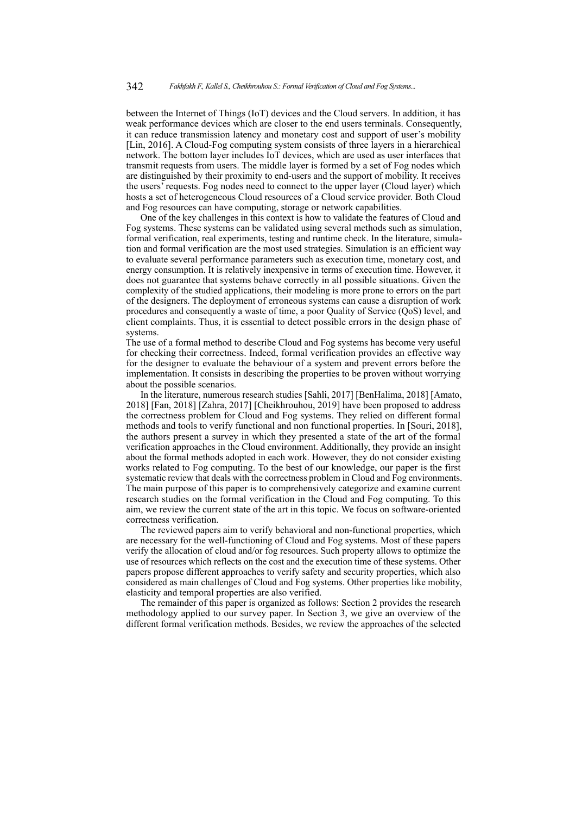between the Internet of Things (IoT) devices and the Cloud servers. In addition, it has weak performance devices which are closer to the end users terminals. Consequently, it can reduce transmission latency and monetary cost and support of user's mobility [Lin, 2016]. A Cloud-Fog computing system consists of three layers in a hierarchical network. The bottom layer includes IoT devices, which are used as user interfaces that transmit requests from users. The middle layer is formed by a set of Fog nodes which are distinguished by their proximity to end-users and the support of mobility. It receives the users' requests. Fog nodes need to connect to the upper layer (Cloud layer) which hosts a set of heterogeneous Cloud resources of a Cloud service provider. Both Cloud and Fog resources can have computing, storage or network capabilities.

One of the key challenges in this context is how to validate the features of Cloud and Fog systems. These systems can be validated using several methods such as simulation, formal verification, real experiments, testing and runtime check. In the literature, simulation and formal verification are the most used strategies. Simulation is an efficient way to evaluate several performance parameters such as execution time, monetary cost, and energy consumption. It is relatively inexpensive in terms of execution time. However, it does not guarantee that systems behave correctly in all possible situations. Given the complexity of the studied applications, their modeling is more prone to errors on the part of the designers. The deployment of erroneous systems can cause a disruption of work procedures and consequently a waste of time, a poor Quality of Service (QoS) level, and client complaints. Thus, it is essential to detect possible errors in the design phase of systems.

The use of a formal method to describe Cloud and Fog systems has become very useful for checking their correctness. Indeed, formal verification provides an effective way for the designer to evaluate the behaviour of a system and prevent errors before the implementation. It consists in describing the properties to be proven without worrying about the possible scenarios.

In the literature, numerous research studies [Sahli, 2017] [BenHalima, 2018] [Amato, 2018] [Fan, 2018] [Zahra, 2017] [Cheikhrouhou, 2019] have been proposed to address the correctness problem for Cloud and Fog systems. They relied on different formal methods and tools to verify functional and non functional properties. In [Souri, 2018], the authors present a survey in which they presented a state of the art of the formal verification approaches in the Cloud environment. Additionally, they provide an insight about the formal methods adopted in each work. However, they do not consider existing works related to Fog computing. To the best of our knowledge, our paper is the first systematic review that deals with the correctness problem in Cloud and Fog environments. The main purpose of this paper is to comprehensively categorize and examine current research studies on the formal verification in the Cloud and Fog computing. To this aim, we review the current state of the art in this topic. We focus on software-oriented correctness verification.

The reviewed papers aim to verify behavioral and non-functional properties, which are necessary for the well-functioning of Cloud and Fog systems. Most of these papers verify the allocation of cloud and/or fog resources. Such property allows to optimize the use of resources which reflects on the cost and the execution time of these systems. Other papers propose different approaches to verify safety and security properties, which also considered as main challenges of Cloud and Fog systems. Other properties like mobility, elasticity and temporal properties are also verified.

The remainder of this paper is organized as follows: Section 2 provides the research methodology applied to our survey paper. In Section 3, we give an overview of the different formal verification methods. Besides, we review the approaches of the selected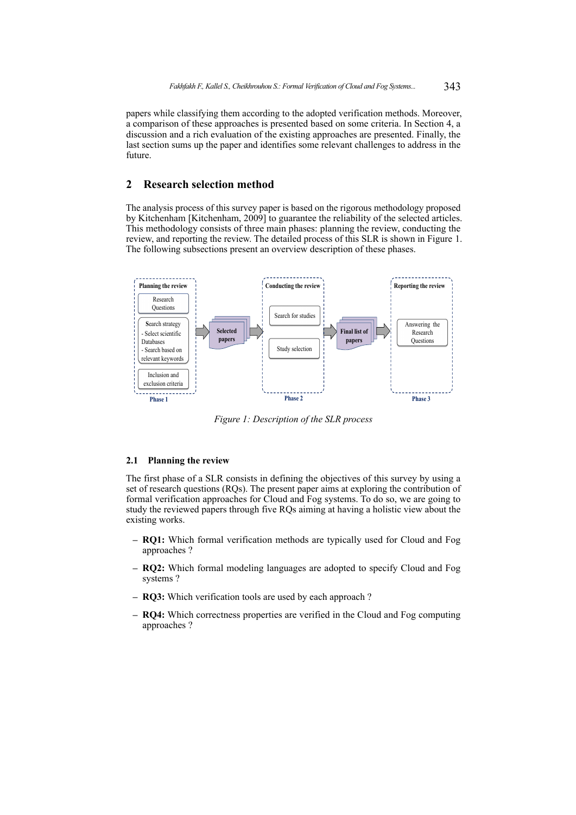papers while classifying them according to the adopted verification methods. Moreover, a comparison of these approaches is presented based on some criteria. In Section 4, a discussion and a rich evaluation of the existing approaches are presented. Finally, the last section sums up the paper and identifies some relevant challenges to address in the future.

## **2 Research selection method**

The analysis process of this survey paper is based on the rigorous methodology proposed by Kitchenham [Kitchenham, 2009] to guarantee the reliability of the selected articles. This methodology consists of three main phases: planning the review, conducting the review, and reporting the review. The detailed process of this SLR is shown in Figure 1. The following subsections present an overview description of these phases.



*Figure 1: Description of the SLR process*

#### **2.1 Planning the review**

The first phase of a SLR consists in defining the objectives of this survey by using a set of research questions (RQs). The present paper aims at exploring the contribution of formal verification approaches for Cloud and Fog systems. To do so, we are going to study the reviewed papers through five RQs aiming at having a holistic view about the existing works.

- **– RQ1:** Which formal verification methods are typically used for Cloud and Fog approaches ?
- **– RQ2:** Which formal modeling languages are adopted to specify Cloud and Fog systems ?
- **– RQ3:** Which verification tools are used by each approach ?
- **– RQ4:** Which correctness properties are verified in the Cloud and Fog computing approaches ?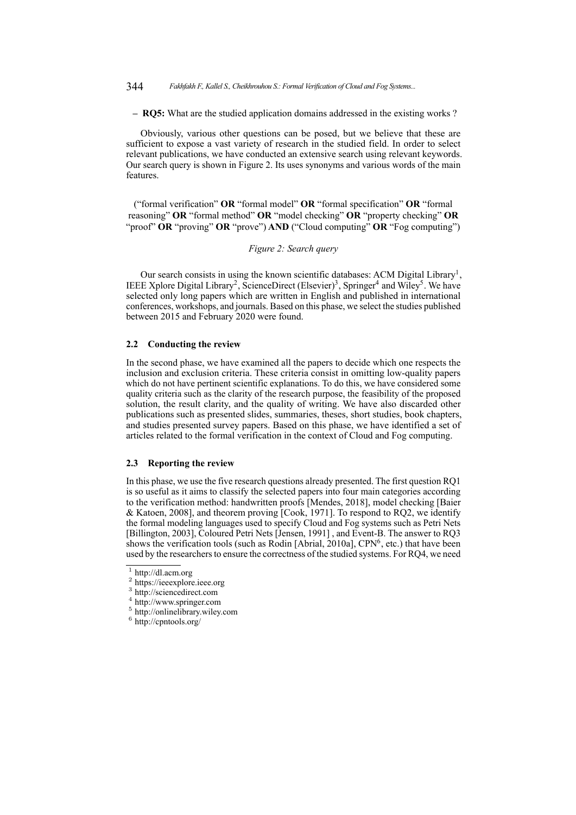**– RQ5:** What are the studied application domains addressed in the existing works ?

Obviously, various other questions can be posed, but we believe that these are sufficient to expose a vast variety of research in the studied field. In order to select relevant publications, we have conducted an extensive search using relevant keywords. Our search query is shown in Figure 2. Its uses synonyms and various words of the main features.

("formal verification" **OR** "formal model" **OR** "formal specification" **OR** "formal reasoning" **OR** "formal method" **OR** "model checking" **OR** "property checking" **OR** "proof" **OR** "proving" **OR** "prove") **AND** ("Cloud computing" **OR** "Fog computing")

#### *Figure 2: Search query*

Our search consists in using the known scientific databases: ACM Digital Library<sup>1</sup>, IEEE Xplore Digital Library<sup>2</sup>, ScienceDirect (Elsevier)<sup>3</sup>, Springer<sup>4</sup> and Wiley<sup>5</sup>. We have selected only long papers which are written in English and published in international conferences, workshops, and journals. Based on this phase, we select the studies published between 2015 and February 2020 were found.

#### **2.2 Conducting the review**

In the second phase, we have examined all the papers to decide which one respects the inclusion and exclusion criteria. These criteria consist in omitting low-quality papers which do not have pertinent scientific explanations. To do this, we have considered some quality criteria such as the clarity of the research purpose, the feasibility of the proposed solution, the result clarity, and the quality of writing. We have also discarded other publications such as presented slides, summaries, theses, short studies, book chapters, and studies presented survey papers. Based on this phase, we have identified a set of articles related to the formal verification in the context of Cloud and Fog computing.

### **2.3 Reporting the review**

In this phase, we use the five research questions already presented. The first question RQ1 is so useful as it aims to classify the selected papers into four main categories according to the verification method: handwritten proofs [Mendes, 2018], model checking [Baier & Katoen, 2008], and theorem proving [Cook, 1971]. To respond to RQ2, we identify the formal modeling languages used to specify Cloud and Fog systems such as Petri Nets [Billington, 2003], Coloured Petri Nets [Jensen, 1991] , and Event-B. The answer to RQ3 shows the verification tools (such as Rodin [Abrial, 2010a],  $CPN<sup>6</sup>$ , etc.) that have been used by the researchers to ensure the correctness of the studied systems. For RQ4, we need

<sup>3</sup> http://sciencedirect.com

- <sup>5</sup> http://onlinelibrary.wiley.com
- <sup>6</sup> http://cpntools.org/

<sup>1</sup> http://dl.acm.org

<sup>&</sup>lt;sup>2</sup> https://ieeexplore.ieee.org

<sup>4</sup> http://www.springer.com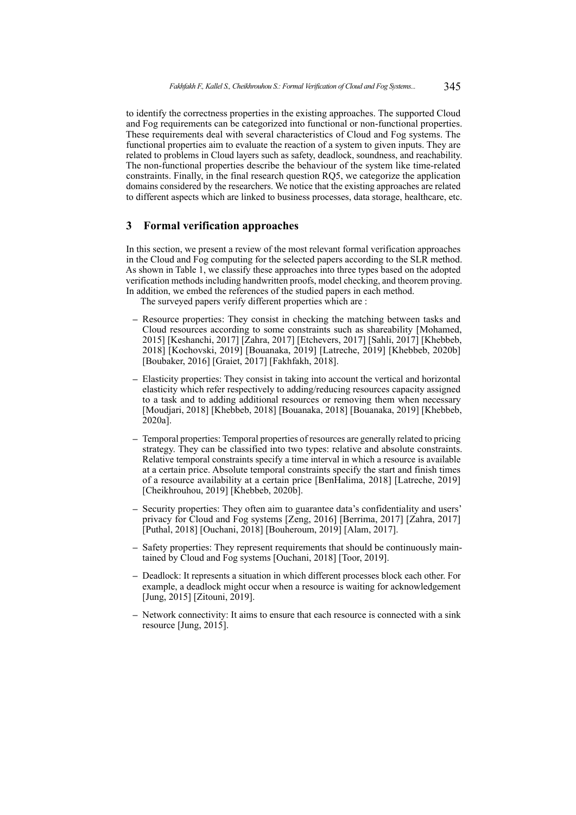to identify the correctness properties in the existing approaches. The supported Cloud and Fog requirements can be categorized into functional or non-functional properties. These requirements deal with several characteristics of Cloud and Fog systems. The functional properties aim to evaluate the reaction of a system to given inputs. They are related to problems in Cloud layers such as safety, deadlock, soundness, and reachability. The non-functional properties describe the behaviour of the system like time-related constraints. Finally, in the final research question RQ5, we categorize the application domains considered by the researchers. We notice that the existing approaches are related to different aspects which are linked to business processes, data storage, healthcare, etc.

### **3 Formal verification approaches**

In this section, we present a review of the most relevant formal verification approaches in the Cloud and Fog computing for the selected papers according to the SLR method. As shown in Table 1, we classify these approaches into three types based on the adopted verification methods including handwritten proofs, model checking, and theorem proving. In addition, we embed the references of the studied papers in each method.

The surveyed papers verify different properties which are :

- **–** Resource properties: They consist in checking the matching between tasks and Cloud resources according to some constraints such as shareability [Mohamed, 2015] [Keshanchi, 2017] [Zahra, 2017] [Etchevers, 2017] [Sahli, 2017] [Khebbeb, 2018] [Kochovski, 2019] [Bouanaka, 2019] [Latreche, 2019] [Khebbeb, 2020b] [Boubaker, 2016] [Graiet, 2017] [Fakhfakh, 2018].
- **–** Elasticity properties: They consist in taking into account the vertical and horizontal elasticity which refer respectively to adding/reducing resources capacity assigned to a task and to adding additional resources or removing them when necessary [Moudjari, 2018] [Khebbeb, 2018] [Bouanaka, 2018] [Bouanaka, 2019] [Khebbeb, 2020a].
- **–** Temporal properties: Temporal properties of resources are generally related to pricing strategy. They can be classified into two types: relative and absolute constraints. Relative temporal constraints specify a time interval in which a resource is available at a certain price. Absolute temporal constraints specify the start and finish times of a resource availability at a certain price [BenHalima, 2018] [Latreche, 2019] [Cheikhrouhou, 2019] [Khebbeb, 2020b].
- **–** Security properties: They often aim to guarantee data's confidentiality and users' privacy for Cloud and Fog systems [Zeng, 2016] [Berrima, 2017] [Zahra, 2017] [Puthal, 2018] [Ouchani, 2018] [Bouheroum, 2019] [Alam, 2017].
- **–** Safety properties: They represent requirements that should be continuously maintained by Cloud and Fog systems [Ouchani, 2018] [Toor, 2019].
- **–** Deadlock: It represents a situation in which different processes block each other. For example, a deadlock might occur when a resource is waiting for acknowledgement [Jung, 2015] [Zitouni, 2019].
- **–** Network connectivity: It aims to ensure that each resource is connected with a sink resource [Jung, 2015].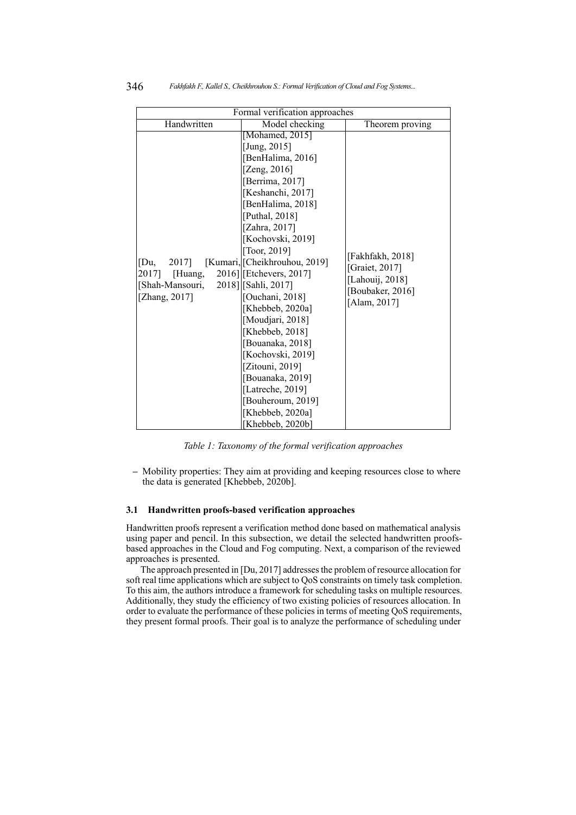| Formal verification approaches                                     |                                                                                                                                                                                                                                                                                                                                                                                                                                                                                                                                                         |                                                                                           |  |
|--------------------------------------------------------------------|---------------------------------------------------------------------------------------------------------------------------------------------------------------------------------------------------------------------------------------------------------------------------------------------------------------------------------------------------------------------------------------------------------------------------------------------------------------------------------------------------------------------------------------------------------|-------------------------------------------------------------------------------------------|--|
| Handwritten                                                        | Model checking                                                                                                                                                                                                                                                                                                                                                                                                                                                                                                                                          | Theorem proving                                                                           |  |
| [Du,<br>2017]<br>2017] [Huang,<br>[Shah-Mansouri,<br>[Zhang, 2017] | [Mohamed, 2015]<br>[Jung, $2015$ ]<br>[BenHalima, 2016]<br>[Zeng, $2016$ ]<br>[Berrima, 2017]<br>[Keshanchi, 2017]<br>[BenHalima, 2018]<br>[Puthal, 2018]<br>[Zahra, 2017]<br>[Kochovski, 2019]<br>[Toor, $2019$ ]<br>[Kumari, [Cheikhrouhou, 2019]<br>2016] [Etchevers, 2017]<br>2018] [Sahli, 2017]<br>[Ouchani, 2018]<br>[Khebbeb, 2020a]<br>[Moudjari, 2018]<br>[Khebbeb, 2018]<br>[Bouanaka, 2018]<br>[Kochovski, 2019]<br>[Zitouni, $2019$ ]<br>[Bouanaka, 2019]<br>[Latreche, 2019]<br>[Bouheroum, 2019]<br>[Khebbeb, 2020a]<br>[Khebbeb, 2020b] | [Fakhfakh, 2018]<br>[Graiet, 2017]<br>[Lahouij, 2018]<br>[Boubaker, 2016]<br>[Alam, 2017] |  |

*Table 1: Taxonomy of the formal verification approaches*

**–** Mobility properties: They aim at providing and keeping resources close to where the data is generated [Khebbeb, 2020b].

#### **3.1 Handwritten proofs-based verification approaches**

Handwritten proofs represent a verification method done based on mathematical analysis using paper and pencil. In this subsection, we detail the selected handwritten proofsbased approaches in the Cloud and Fog computing. Next, a comparison of the reviewed approaches is presented.

The approach presented in [Du, 2017] addresses the problem of resource allocation for soft real time applications which are subject to QoS constraints on timely task completion. To this aim, the authors introduce a framework for scheduling tasks on multiple resources. Additionally, they study the efficiency of two existing policies of resources allocation. In order to evaluate the performance of these policies in terms of meeting QoS requirements, they present formal proofs. Their goal is to analyze the performance of scheduling under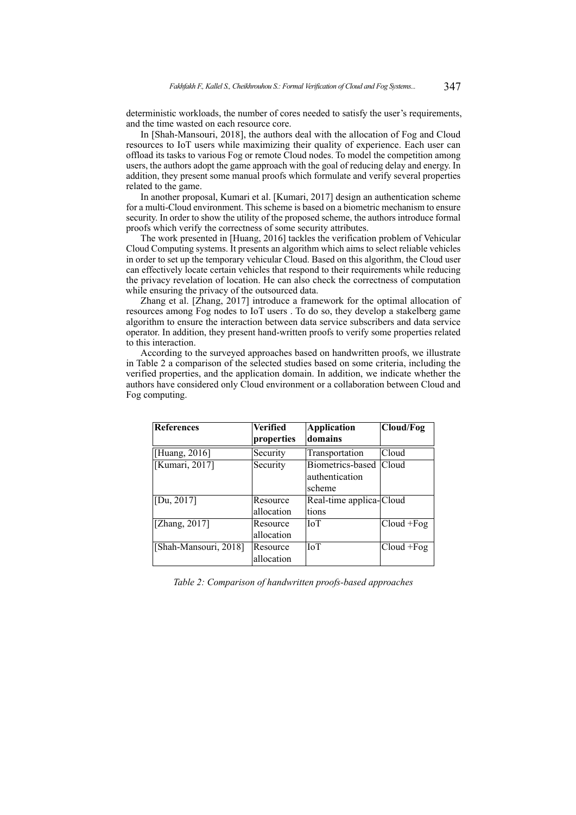deterministic workloads, the number of cores needed to satisfy the user's requirements, and the time wasted on each resource core.

In [Shah-Mansouri, 2018], the authors deal with the allocation of Fog and Cloud resources to IoT users while maximizing their quality of experience. Each user can offload its tasks to various Fog or remote Cloud nodes. To model the competition among users, the authors adopt the game approach with the goal of reducing delay and energy. In addition, they present some manual proofs which formulate and verify several properties related to the game.

In another proposal, Kumari et al. [Kumari, 2017] design an authentication scheme for a multi-Cloud environment. This scheme is based on a biometric mechanism to ensure security. In order to show the utility of the proposed scheme, the authors introduce formal proofs which verify the correctness of some security attributes.

The work presented in [Huang, 2016] tackles the verification problem of Vehicular Cloud Computing systems. It presents an algorithm which aims to select reliable vehicles in order to set up the temporary vehicular Cloud. Based on this algorithm, the Cloud user can effectively locate certain vehicles that respond to their requirements while reducing the privacy revelation of location. He can also check the correctness of computation while ensuring the privacy of the outsourced data.

Zhang et al. [Zhang, 2017] introduce a framework for the optimal allocation of resources among Fog nodes to IoT users . To do so, they develop a stakelberg game algorithm to ensure the interaction between data service subscribers and data service operator. In addition, they present hand-written proofs to verify some properties related to this interaction.

According to the surveyed approaches based on handwritten proofs, we illustrate in Table 2 a comparison of the selected studies based on some criteria, including the verified properties, and the application domain. In addition, we indicate whether the authors have considered only Cloud environment or a collaboration between Cloud and Fog computing.

| References                  | Verified   | <b>Application</b>      | Cloud/Fog     |
|-----------------------------|------------|-------------------------|---------------|
|                             | properties | domains                 |               |
| [Huang, 2016]               | Security   | Transportation          | Cloud         |
| [Kumari, 2017]              | Security   | Biometrics-based        | Cloud         |
|                             |            | authentication          |               |
|                             |            | scheme                  |               |
| [Du, $2017$ ]               | Resource   | Real-time applica-Cloud |               |
|                             | allocation | tions                   |               |
| [Zhang, $201\overline{7}$ ] | Resource   | <b>IoT</b>              | $Cloud + Fog$ |
|                             | allocation |                         |               |
| [Shah-Mansouri, 2018]       | Resource   | IoT                     | $Cloud + Fog$ |
|                             | allocation |                         |               |

*Table 2: Comparison of handwritten proofs-based approaches*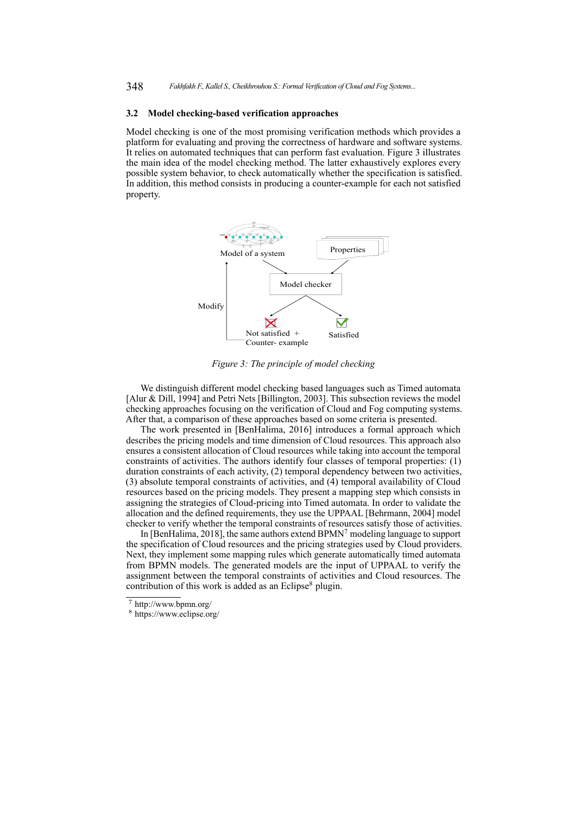#### **3.2 Model checking-based verification approaches**

Model checking is one of the most promising verification methods which provides a platform for evaluating and proving the correctness of hardware and software systems. It relies on automated techniques that can perform fast evaluation. Figure 3 illustrates the main idea of the model checking method. The latter exhaustively explores every possible system behavior, to check automatically whether the specification is satisfied. In addition, this method consists in producing a counter-example for each not satisfied property.



*Figure 3: The principle of model checking*

We distinguish different model checking based languages such as Timed automata [Alur & Dill, 1994] and Petri Nets [Billington, 2003]. This subsection reviews the model checking approaches focusing on the verification of Cloud and Fog computing systems. After that, a comparison of these approaches based on some criteria is presented.

The work presented in [BenHalima, 2016] introduces a formal approach which describes the pricing models and time dimension of Cloud resources. This approach also ensures a consistent allocation of Cloud resources while taking into account the temporal constraints of activities. The authors identify four classes of temporal properties: (1) duration constraints of each activity, (2) temporal dependency between two activities,  $(3)$  absolute temporal constraints of activities, and  $(4)$  temporal availability of Cloud resources based on the pricing models. They present a mapping step which consists in assigning the strategies of Cloud-pricing into Timed automata. In order to validate the allocation and the defined requirements, they use the UPPAAL [Behrmann, 2004] model checker to verify whether the temporal constraints of resources satisfy those of activities.

In [BenHalima, 2018], the same authors extend BPMN<sup>7</sup> modeling language to support the specification of Cloud resources and the pricing strategies used by Cloud providers. Next, they implement some mapping rules which generate automatically timed automata from BPMN models. The generated models are the input of UPPAAL to verify the assignment between the temporal constraints of activities and Cloud resources. The contribution of this work is added as an Eclipse<sup>8</sup> plugin.

<sup>7</sup> http://www.bpmn.org/

<sup>8</sup> https://www.eclipse.org/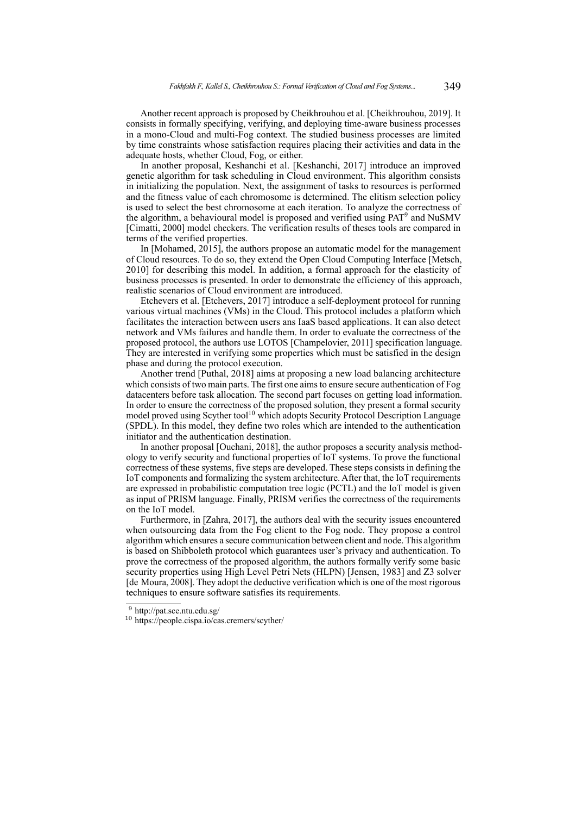Another recent approach is proposed by Cheikhrouhou et al. [Cheikhrouhou, 2019]. It consists in formally specifying, verifying, and deploying time-aware business processes in a mono-Cloud and multi-Fog context. The studied business processes are limited by time constraints whose satisfaction requires placing their activities and data in the adequate hosts, whether Cloud, Fog, or either.

In another proposal, Keshanchi et al. [Keshanchi, 2017] introduce an improved genetic algorithm for task scheduling in Cloud environment. This algorithm consists in initializing the population. Next, the assignment of tasks to resources is performed and the fitness value of each chromosome is determined. The elitism selection policy is used to select the best chromosome at each iteration. To analyze the correctness of the algorithm, a behavioural model is proposed and verified using PAT<sup>9</sup> and NuSMV [Cimatti, 2000] model checkers. The verification results of theses tools are compared in terms of the verified properties.

In [Mohamed, 2015], the authors propose an automatic model for the management of Cloud resources. To do so, they extend the Open Cloud Computing Interface [Metsch, 2010] for describing this model. In addition, a formal approach for the elasticity of business processes is presented. In order to demonstrate the efficiency of this approach, realistic scenarios of Cloud environment are introduced.

Etchevers et al. [Etchevers, 2017] introduce a self-deployment protocol for running various virtual machines (VMs) in the Cloud. This protocol includes a platform which facilitates the interaction between users ans IaaS based applications. It can also detect network and VMs failures and handle them. In order to evaluate the correctness of the proposed protocol, the authors use LOTOS [Champelovier, 2011] specification language. They are interested in verifying some properties which must be satisfied in the design phase and during the protocol execution.

Another trend [Puthal, 2018] aims at proposing a new load balancing architecture which consists of two main parts. The first one aims to ensure secure authentication of Fog datacenters before task allocation. The second part focuses on getting load information. In order to ensure the correctness of the proposed solution, they present a formal security model proved using Scyther tool<sup>10</sup> which adopts Security Protocol Description Language (SPDL). In this model, they define two roles which are intended to the authentication initiator and the authentication destination.

In another proposal [Ouchani, 2018], the author proposes a security analysis methodology to verify security and functional properties of IoT systems. To prove the functional correctness of these systems, five steps are developed. These steps consists in defining the IoT components and formalizing the system architecture. After that, the IoT requirements are expressed in probabilistic computation tree logic (PCTL) and the IoT model is given as input of PRISM language. Finally, PRISM verifies the correctness of the requirements on the IoT model.

Furthermore, in [Zahra, 2017], the authors deal with the security issues encountered when outsourcing data from the Fog client to the Fog node. They propose a control algorithm which ensures a secure communication between client and node. This algorithm is based on Shibboleth protocol which guarantees user's privacy and authentication. To prove the correctness of the proposed algorithm, the authors formally verify some basic security properties using High Level Petri Nets (HLPN) [Jensen, 1983] and Z3 solver [de Moura, 2008]. They adopt the deductive verification which is one of the most rigorous techniques to ensure software satisfies its requirements.

<sup>9</sup> http://pat.sce.ntu.edu.sg/

<sup>10</sup> https://people.cispa.io/cas.cremers/scyther/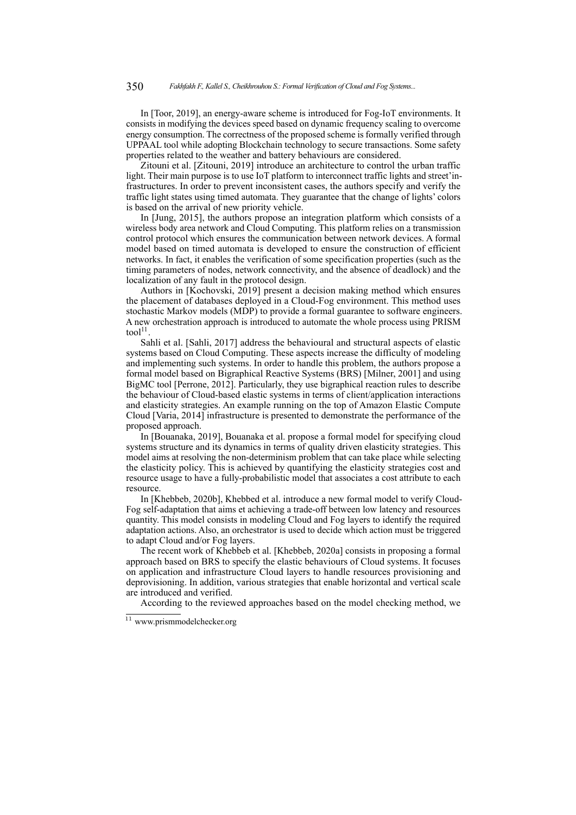In [Toor, 2019], an energy-aware scheme is introduced for Fog-IoT environments. It consists in modifying the devices speed based on dynamic frequency scaling to overcome energy consumption. The correctness of the proposed scheme is formally verified through UPPAAL tool while adopting Blockchain technology to secure transactions. Some safety properties related to the weather and battery behaviours are considered.

Zitouni et al. [Zitouni, 2019] introduce an architecture to control the urban traffic light. Their main purpose is to use IoT platform to interconnect traffic lights and street'infrastructures. In order to prevent inconsistent cases, the authors specify and verify the traffic light states using timed automata. They guarantee that the change of lights' colors is based on the arrival of new priority vehicle.

In [Jung, 2015], the authors propose an integration platform which consists of a wireless body area network and Cloud Computing. This platform relies on a transmission control protocol which ensures the communication between network devices. A formal model based on timed automata is developed to ensure the construction of efficient networks. In fact, it enables the verification of some specification properties (such as the timing parameters of nodes, network connectivity, and the absence of deadlock) and the localization of any fault in the protocol design.

Authors in [Kochovski, 2019] present a decision making method which ensures the placement of databases deployed in a Cloud-Fog environment. This method uses stochastic Markov models (MDP) to provide a formal guarantee to software engineers. A new orchestration approach is introduced to automate the whole process using PRISM tool $11$ .

Sahli et al. [Sahli, 2017] address the behavioural and structural aspects of elastic systems based on Cloud Computing. These aspects increase the difficulty of modeling and implementing such systems. In order to handle this problem, the authors propose a formal model based on Bigraphical Reactive Systems (BRS) [Milner, 2001] and using BigMC tool [Perrone, 2012]. Particularly, they use bigraphical reaction rules to describe the behaviour of Cloud-based elastic systems in terms of client/application interactions and elasticity strategies. An example running on the top of Amazon Elastic Compute Cloud [Varia, 2014] infrastructure is presented to demonstrate the performance of the proposed approach.

In [Bouanaka, 2019], Bouanaka et al. propose a formal model for specifying cloud systems structure and its dynamics in terms of quality driven elasticity strategies. This model aims at resolving the non-determinism problem that can take place while selecting the elasticity policy. This is achieved by quantifying the elasticity strategies cost and resource usage to have a fully-probabilistic model that associates a cost attribute to each resource.

In [Khebbeb, 2020b], Khebbed et al. introduce a new formal model to verify Cloud-Fog self-adaptation that aims et achieving a trade-off between low latency and resources quantity. This model consists in modeling Cloud and Fog layers to identify the required adaptation actions. Also, an orchestrator is used to decide which action must be triggered to adapt Cloud and/or Fog layers.

The recent work of Khebbeb et al. [Khebbeb, 2020a] consists in proposing a formal approach based on BRS to specify the elastic behaviours of Cloud systems. It focuses on application and infrastructure Cloud layers to handle resources provisioning and deprovisioning. In addition, various strategies that enable horizontal and vertical scale are introduced and verified.

According to the reviewed approaches based on the model checking method, we

<sup>11</sup> www.prismmodelchecker.org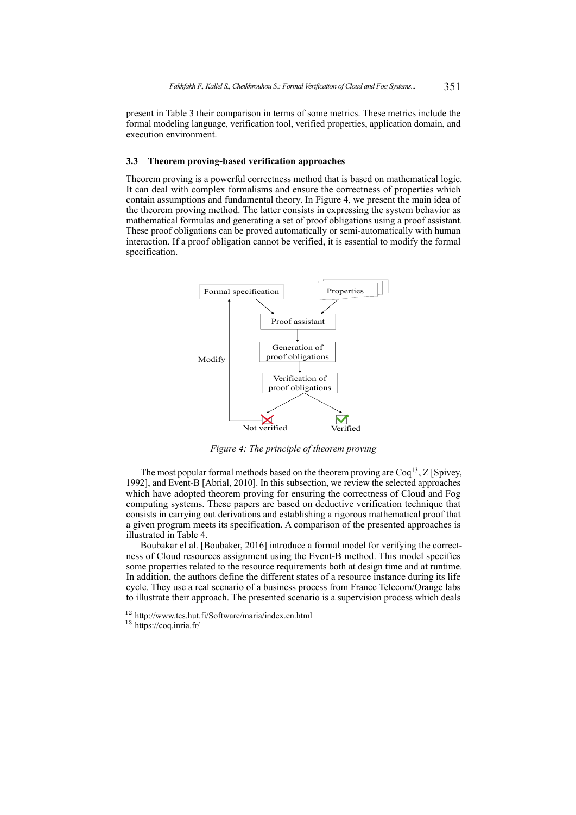present in Table 3 their comparison in terms of some metrics. These metrics include the formal modeling language, verification tool, verified properties, application domain, and execution environment.

#### **3.3 Theorem proving-based verification approaches**

Theorem proving is a powerful correctness method that is based on mathematical logic. It can deal with complex formalisms and ensure the correctness of properties which contain assumptions and fundamental theory. In Figure 4, we present the main idea of the theorem proving method. The latter consists in expressing the system behavior as mathematical formulas and generating a set of proof obligations using a proof assistant. These proof obligations can be proved automatically or semi-automatically with human interaction. If a proof obligation cannot be verified, it is essential to modify the formal specification.



*Figure 4: The principle of theorem proving*

The most popular formal methods based on the theorem proving are Coq<sup>13</sup>, Z [Spivey, 1992], and Event-B [Abrial, 2010]. In this subsection, we review the selected approaches which have adopted theorem proving for ensuring the correctness of Cloud and Fog computing systems. These papers are based on deductive verification technique that consists in carrying out derivations and establishing a rigorous mathematical proof that a given program meets its specification. A comparison of the presented approaches is illustrated in Table 4.

Boubakar el al. [Boubaker, 2016] introduce a formal model for verifying the correctness of Cloud resources assignment using the Event-B method. This model specifies some properties related to the resource requirements both at design time and at runtime. In addition, the authors define the different states of a resource instance during its life cycle. They use a real scenario of a business process from France Telecom/Orange labs to illustrate their approach. The presented scenario is a supervision process which deals

 $12$  http://www.tcs.hut.fi/Software/maria/index.en.html

<sup>13</sup> https://coq.inria.fr/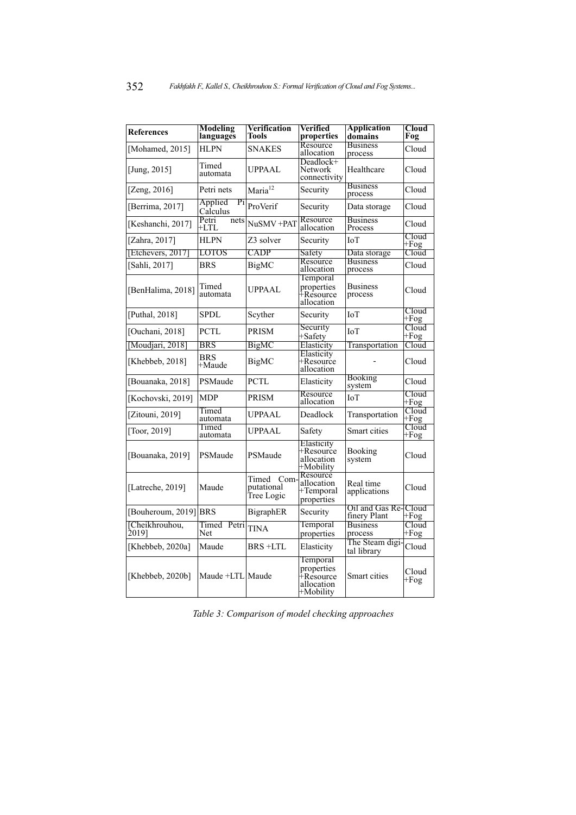| References              | <b>Modeling</b><br>languages | <b>Verification</b><br>Tools             | Verified<br>properties                                                     | <b>Application</b><br>domains        | $C$ loud<br>Fog    |
|-------------------------|------------------------------|------------------------------------------|----------------------------------------------------------------------------|--------------------------------------|--------------------|
| [Mohamed, 2015]         | <b>HLPN</b>                  | <b>SNAKES</b>                            | Resource<br>allocation                                                     | <b>Business</b><br>process           | Cloud              |
| [Jung, $2015$ ]         | Timed<br>automata            | UPPAAL                                   | Deadlock+<br>Network<br>connectivity                                       | Healthcare                           | Cloud              |
| [Zeng, $2016$ ]         | Petri nets                   | Maria <sup>12</sup>                      | Security                                                                   | <b>Business</b><br>process           | Cloud              |
| [Berrima, 2017]         | Applied<br>Pi<br>Calculus    | ProVerif                                 | Security                                                                   | Data storage                         | Cloud              |
| [Keshanchi, 2017]       | Petri<br>nets<br>+LTL        | NuSMV +PAT                               | Resource<br>allocation                                                     | <b>Business</b><br>Process           | Cloud              |
| [Zahra, 2017]           | <b>HLPN</b>                  | Z3 solver                                | Security                                                                   | IоT                                  | Cloud<br>$+Fog$    |
| [Etchevers, 2017]       | <b>LOTOS</b>                 | <b>CADP</b>                              | Safety                                                                     | Data storage                         | Cloud              |
| [Sahli, 2017]           | <b>BRS</b>                   | <b>BigMC</b>                             | Resource<br>allocation                                                     | <b>Business</b><br>process           | Cloud              |
| [BenHalima, 2018]       | Timed<br>automata            | UPPAAL                                   | Temporal<br>properties<br>∔Rêsource<br>allocation                          | <b>Business</b><br>process           | Cloud              |
| [Puthal, 2018]          | <b>SPDL</b>                  | Scyther                                  | Security                                                                   | IоT                                  | Cloud<br>$+Fog$    |
| [Ouchani, 2018]         | <b>PCTL</b>                  | PRISM                                    | Security<br>+Safety                                                        | <b>IoT</b>                           | $C$ loud<br>$+Fog$ |
| [Moudjari, 2018]        | <b>BRS</b>                   | BigMC                                    | Elasticity                                                                 | Transportation                       | Cloud              |
| [Khebbeb, 2018]         | <b>BRS</b><br>+Maude         | BigMC                                    | Elasticity<br>+Resource<br>allocation                                      |                                      | Cloud              |
| [Bouanaka, 2018]        | PSMaude                      | PCTL                                     | Elasticity                                                                 | Booking<br>system                    | Cloud              |
| [Kochovski, 2019]       | <b>MDP</b>                   | PRISM                                    | Resource<br>allocation                                                     | <b>IoT</b>                           | Cloud<br>+Fog      |
| [Zitouni, 2019]         | Timed<br>automata            | UPPAAL                                   | Deadlock                                                                   | Transportation                       | Cloud<br>$+Fog$    |
| [Toor, 2019]            | Timed<br>automata            | UPPAAL                                   | Safety                                                                     | Smart cities                         | Cloud<br>+Fog      |
| [Bouanaka, 2019]        | PSMaude                      | PSMaude                                  | Elasticity<br>+Resource<br>allocation<br>+Mobility                         | Booking<br>system                    | Cloud              |
| [Latreche, 2019]        | Maude                        | Timed<br>Com<br>putational<br>Tree Logic | Resource<br>allocation<br>+Temporal<br>properties                          | Real time<br>applications            | Cloud              |
| [Bouheroum, 2019] BRS   |                              | BigraphER                                | Security                                                                   | Oil and Gas Re-Cloud<br>finery Plant | +Fog               |
| [Cheikhrouhou,<br>20191 | Timed Petri<br>Net           | <b>TINA</b>                              | Temporal<br>properties                                                     | <b>Business</b><br>process           | Cloud<br>$+Fog$    |
| [Khebbeb, 2020a]        | Maude                        | BRS +LTL                                 | Elasticity                                                                 | The Steam digi-<br>tal library       | Cloud              |
| [Khebbeb, $2020b$ ]     | Maude +LTL Maude             |                                          | Temporal<br>properties<br><sup>∓</sup> Resource<br>allocation<br>+Mobility | Smart cities                         | Cloud<br>+Fog      |

*Table 3: Comparison of model checking approaches*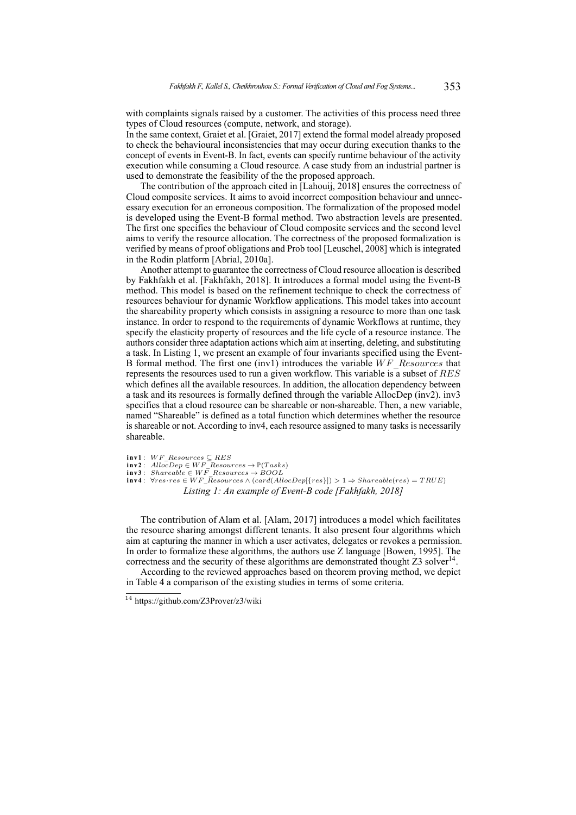with complaints signals raised by a customer. The activities of this process need three types of Cloud resources (compute, network, and storage).

In the same context, Graiet et al. [Graiet, 2017] extend the formal model already proposed to check the behavioural inconsistencies that may occur during execution thanks to the concept of events in Event-B. In fact, events can specify runtime behaviour of the activity execution while consuming a Cloud resource. A case study from an industrial partner is used to demonstrate the feasibility of the the proposed approach.

The contribution of the approach cited in [Lahouij, 2018] ensures the correctness of Cloud composite services. It aims to avoid incorrect composition behaviour and unnecessary execution for an erroneous composition. The formalization of the proposed model is developed using the Event-B formal method. Two abstraction levels are presented. The first one specifies the behaviour of Cloud composite services and the second level aims to verify the resource allocation. The correctness of the proposed formalization is verified by means of proof obligations and Prob tool [Leuschel, 2008] which is integrated in the Rodin platform [Abrial, 2010a].

Another attempt to guarantee the correctness of Cloud resource allocation is described by Fakhfakh et al. [Fakhfakh, 2018]. It introduces a formal model using the Event-B method. This model is based on the refinement technique to check the correctness of resources behaviour for dynamic Workflow applications. This model takes into account the shareability property which consists in assigning a resource to more than one task instance. In order to respond to the requirements of dynamic Workflows at runtime, they specify the elasticity property of resources and the life cycle of a resource instance. The authors consider three adaptation actions which aim at inserting, deleting, and substituting a task. In Listing 1, we present an example of four invariants specified using the Event-B formal method. The first one (inv1) introduces the variable *W F*\_*Resources* that represents the resources used to run a given workflow. This variable is a subset of *RES* which defines all the available resources. In addition, the allocation dependency between a task and its resources is formally defined through the variable AllocDep (inv2). inv3 specifies that a cloud resource can be shareable or non-shareable. Then, a new variable, named "Shareable" is defined as a total function which determines whether the resource is shareable or not. According to inv4, each resource assigned to many tasks is necessarily shareable.

- 
- 
- $\begin{array}{l} \texttt{inv1}: \,\, WF\_Resources \subseteq RES \ \texttt{inv2}: \,\, AllocDep \in WF\_Resources \to \mathbb{P}(Tasks) \ \texttt{inv3}: \,\, Shareable \in WF\_Resources \to BOOL \ \texttt{inv4}: \,\, \forall res\cdot res \in WF\_Resources \land (card(AllocDep[\{res\}]) > 1 \Rightarrow Shareable(res) = TRUE) \end{array}$ *Listing 1: An example of Event-B code [Fakhfakh, 2018]*

The contribution of Alam et al. [Alam, 2017] introduces a model which facilitates the resource sharing amongst different tenants. It also present four algorithms which aim at capturing the manner in which a user activates, delegates or revokes a permission. In order to formalize these algorithms, the authors use Z language [Bowen, 1995]. The correctness and the security of these algorithms are demonstrated thought  $Z3$  solver<sup>14</sup>.

According to the reviewed approaches based on theorem proving method, we depict in Table 4 a comparison of the existing studies in terms of some criteria.

<sup>14</sup> https://github.com/Z3Prover/z3/wiki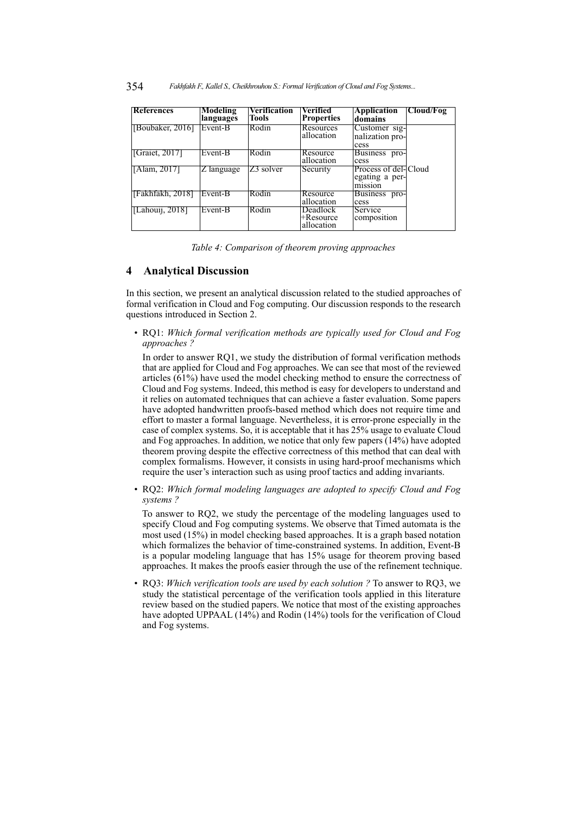| <b>References</b> | <b>Modeling</b><br>languages | <b>Verification</b><br><b>Tools</b> | Verified<br><b>Properties</b>              | <b>Application</b><br>domains                     | Cloud/Fog |
|-------------------|------------------------------|-------------------------------------|--------------------------------------------|---------------------------------------------------|-----------|
| [Boubaker, 2016]  | Event-B                      | Rodin                               | Resources<br>allocation                    | Customer sig-<br>nalization pro-<br>cess          |           |
| [Graiet, 2017]    | Event-B                      | Rodin                               | Resource<br>allocation                     | Business pro-<br>cess                             |           |
| TAlam, 2017T      | $Z$ language                 | Z3 solver                           | Security                                   | Process of del-Cloud<br>egating a per-<br>mission |           |
| [Fakhfakh, 2018]  | Event-B                      | Rodin                               | Resource<br>allocation                     | Business pro-<br>cess                             |           |
| [Lahoui], 2018]   | Event-B                      | Rodin                               | <b>Deadlock</b><br>⊬Resource<br>allocation | Service<br>composition                            |           |

*Table 4: Comparison of theorem proving approaches*

### **4 Analytical Discussion**

In this section, we present an analytical discussion related to the studied approaches of formal verification in Cloud and Fog computing. Our discussion responds to the research questions introduced in Section 2.

• RQ1: *Which formal verification methods are typically used for Cloud and Fog approaches ?*

In order to answer RQ1, we study the distribution of formal verification methods that are applied for Cloud and Fog approaches. We can see that most of the reviewed articles  $(61%)$  have used the model checking method to ensure the correctness of Cloud and Fog systems. Indeed, this method is easy for developers to understand and it relies on automated techniques that can achieve a faster evaluation. Some papers have adopted handwritten proofs-based method which does not require time and effort to master a formal language. Nevertheless, it is error-prone especially in the case of complex systems. So, it is acceptable that it has 25% usage to evaluate Cloud and Fog approaches. In addition, we notice that only few papers (14%) have adopted theorem proving despite the effective correctness of this method that can deal with complex formalisms. However, it consists in using hard-proof mechanisms which require the user's interaction such as using proof tactics and adding invariants.

• RQ2: *Which formal modeling languages are adopted to specify Cloud and Fog systems ?*

To answer to RQ2, we study the percentage of the modeling languages used to specify Cloud and Fog computing systems. We observe that Timed automata is the most used (15%) in model checking based approaches. It is a graph based notation which formalizes the behavior of time-constrained systems. In addition, Event-B is a popular modeling language that has 15% usage for theorem proving based approaches. It makes the proofs easier through the use of the refinement technique.

• RQ3: *Which verification tools are used by each solution ?* To answer to RQ3, we study the statistical percentage of the verification tools applied in this literature review based on the studied papers. We notice that most of the existing approaches have adopted UPPAAL (14%) and Rodin (14%) tools for the verification of Cloud and Fog systems.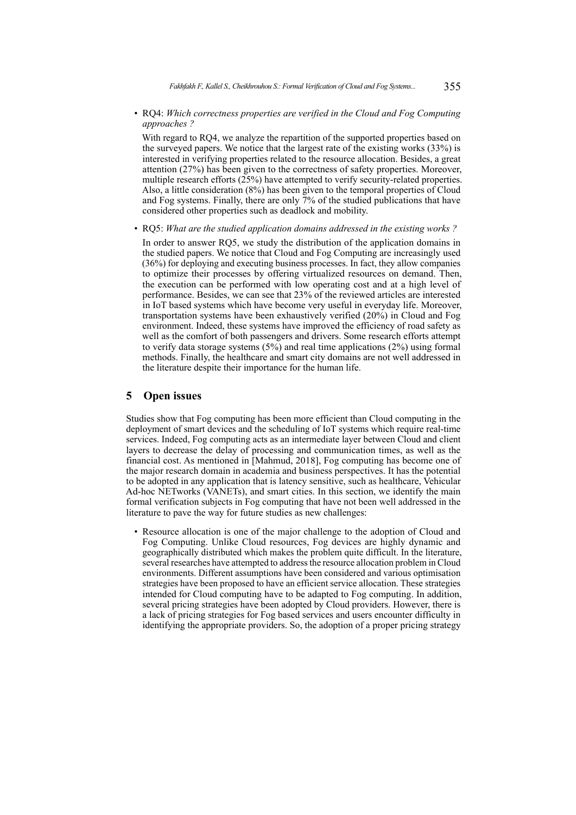• RQ4: *Which correctness properties are verified in the Cloud and Fog Computing approaches ?*

With regard to RQ4, we analyze the repartition of the supported properties based on the surveyed papers. We notice that the largest rate of the existing works (33%) is interested in verifying properties related to the resource allocation. Besides, a great attention (27%) has been given to the correctness of safety properties. Moreover, multiple research efforts (25%) have attempted to verify security-related properties. Also, a little consideration (8%) has been given to the temporal properties of Cloud and Fog systems. Finally, there are only 7% of the studied publications that have considered other properties such as deadlock and mobility.

• RQ5: *What are the studied application domains addressed in the existing works ?*

In order to answer RQ5, we study the distribution of the application domains in the studied papers. We notice that Cloud and Fog Computing are increasingly used (36%) for deploying and executing business processes. In fact, they allow companies to optimize their processes by offering virtualized resources on demand. Then, the execution can be performed with low operating cost and at a high level of performance. Besides, we can see that 23% of the reviewed articles are interested in IoT based systems which have become very useful in everyday life. Moreover, transportation systems have been exhaustively verified (20%) in Cloud and Fog environment. Indeed, these systems have improved the efficiency of road safety as well as the comfort of both passengers and drivers. Some research efforts attempt to verify data storage systems (5%) and real time applications (2%) using formal methods. Finally, the healthcare and smart city domains are not well addressed in the literature despite their importance for the human life.

### **5 Open issues**

Studies show that Fog computing has been more efficient than Cloud computing in the deployment of smart devices and the scheduling of IoT systems which require real-time services. Indeed, Fog computing acts as an intermediate layer between Cloud and client layers to decrease the delay of processing and communication times, as well as the financial cost. As mentioned in [Mahmud, 2018], Fog computing has become one of the major research domain in academia and business perspectives. It has the potential to be adopted in any application that is latency sensitive, such as healthcare, Vehicular Ad-hoc NETworks (VANETs), and smart cities. In this section, we identify the main formal verification subjects in Fog computing that have not been well addressed in the literature to pave the way for future studies as new challenges:

• Resource allocation is one of the major challenge to the adoption of Cloud and Fog Computing. Unlike Cloud resources, Fog devices are highly dynamic and geographically distributed which makes the problem quite difficult. In the literature, several researches have attempted to address the resource allocation problem in Cloud environments. Different assumptions have been considered and various optimisation strategies have been proposed to have an efficient service allocation. These strategies intended for Cloud computing have to be adapted to Fog computing. In addition, several pricing strategies have been adopted by Cloud providers. However, there is a lack of pricing strategies for Fog based services and users encounter difficulty in identifying the appropriate providers. So, the adoption of a proper pricing strategy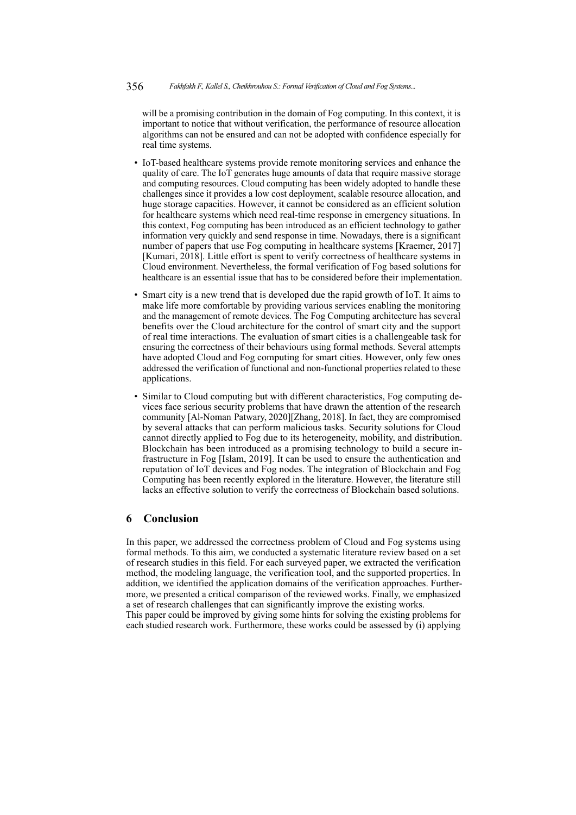will be a promising contribution in the domain of Fog computing. In this context, it is important to notice that without verification, the performance of resource allocation algorithms can not be ensured and can not be adopted with confidence especially for real time systems.

- IoT-based healthcare systems provide remote monitoring services and enhance the quality of care. The IoT generates huge amounts of data that require massive storage and computing resources. Cloud computing has been widely adopted to handle these challenges since it provides a low cost deployment, scalable resource allocation, and huge storage capacities. However, it cannot be considered as an efficient solution for healthcare systems which need real-time response in emergency situations. In this context, Fog computing has been introduced as an efficient technology to gather information very quickly and send response in time. Nowadays, there is a significant number of papers that use Fog computing in healthcare systems [Kraemer, 2017] [Kumari, 2018]. Little effort is spent to verify correctness of healthcare systems in Cloud environment. Nevertheless, the formal verification of Fog based solutions for healthcare is an essential issue that has to be considered before their implementation.
- Smart city is a new trend that is developed due the rapid growth of IoT. It aims to make life more comfortable by providing various services enabling the monitoring and the management of remote devices. The Fog Computing architecture has several benefits over the Cloud architecture for the control of smart city and the support of real time interactions. The evaluation of smart cities is a challengeable task for ensuring the correctness of their behaviours using formal methods. Several attempts have adopted Cloud and Fog computing for smart cities. However, only few ones addressed the verification of functional and non-functional properties related to these applications.
- Similar to Cloud computing but with different characteristics, Fog computing devices face serious security problems that have drawn the attention of the research community [Al-Noman Patwary, 2020][Zhang, 2018]. In fact, they are compromised by several attacks that can perform malicious tasks. Security solutions for Cloud cannot directly applied to Fog due to its heterogeneity, mobility, and distribution. Blockchain has been introduced as a promising technology to build a secure infrastructure in Fog [Islam, 2019]. It can be used to ensure the authentication and reputation of IoT devices and Fog nodes. The integration of Blockchain and Fog Computing has been recently explored in the literature. However, the literature still lacks an effective solution to verify the correctness of Blockchain based solutions.

### **6 Conclusion**

In this paper, we addressed the correctness problem of Cloud and Fog systems using formal methods. To this aim, we conducted a systematic literature review based on a set of research studies in this field. For each surveyed paper, we extracted the verification method, the modeling language, the verification tool, and the supported properties. In addition, we identified the application domains of the verification approaches. Furthermore, we presented a critical comparison of the reviewed works. Finally, we emphasized a set of research challenges that can significantly improve the existing works.

This paper could be improved by giving some hints for solving the existing problems for each studied research work. Furthermore, these works could be assessed by (i) applying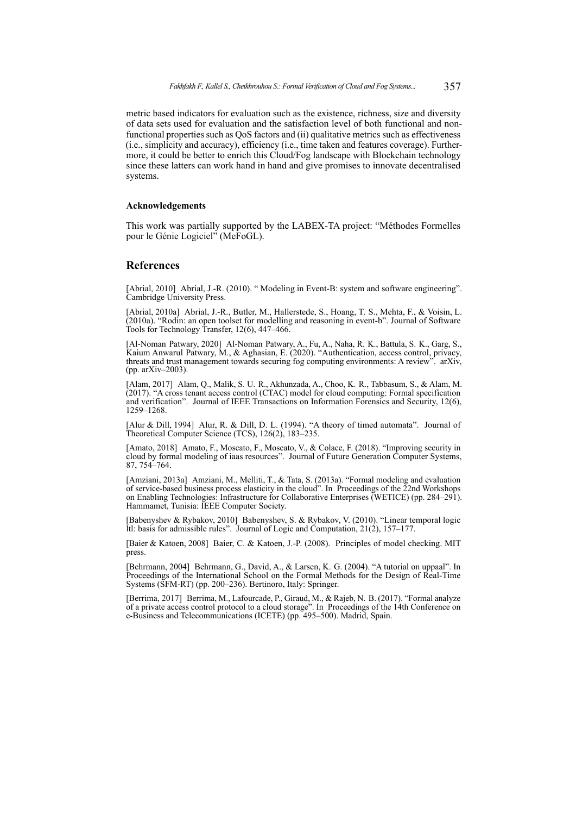metric based indicators for evaluation such as the existence, richness, size and diversity of data sets used for evaluation and the satisfaction level of both functional and nonfunctional properties such as QoS factors and (ii) qualitative metrics such as effectiveness (i.e., simplicity and accuracy), efficiency (i.e., time taken and features coverage). Furthermore, it could be better to enrich this Cloud/Fog landscape with Blockchain technology since these latters can work hand in hand and give promises to innovate decentralised systems.

### **Acknowledgements**

This work was partially supported by the LABEX-TA project: "Méthodes Formelles pour le Génie Logiciel" (MeFoGL).

### **References**

[Abrial, 2010] Abrial, J.-R. (2010). "Modeling in Event-B: system and software engineering". Cambridge University Press.

[Abrial, 2010a] Abrial, J.-R., Butler, M., Hallerstede, S., Hoang, T. S., Mehta, F., & Voisin, L. (2010a). "Rodin: an open toolset for modelling and reasoning in event-b". Journal of Software Tools for Technology Transfer, 12(6), 447–466.

[Al-Noman Patwary, 2020] Al-Noman Patwary, A., Fu, A., Naha, R. K., Battula, S. K., Garg, S., Kaium Anwarul Patwary, M., & Aghasian, E. (2020). "Authentication, access control, privacy, threats and trust management towards securing fog computing environments: A review". arXiv, (pp. arXiv–2003).

[Alam, 2017] Alam, Q., Malik, S. U. R., Akhunzada, A., Choo, K. R., Tabbasum, S., & Alam, M. (2017). "A cross tenant access control (CTAC) model for cloud computing: Formal specification and verification". Journal of IEEE Transactions on Information Forensics and Security, 12(6), 1259–1268.

[Alur & Dill, 1994] Alur, R. & Dill, D. L. (1994). "A theory of timed automata". Journal of Theoretical Computer Science (TCS), 126(2), 183–235.

[Amato, 2018] Amato, F., Moscato, F., Moscato, V., & Colace, F. (2018). "Improving security in cloud by formal modeling of iaas resources". Journal of Future Generation Computer Systems, 87, 754–764.

[Amziani, 2013a] Amziani, M., Melliti, T., & Tata, S. (2013a). "Formal modeling and evaluation of service-based business process elasticity in the cloud". In Proceedings of the 22nd Workshops on Enabling Technologies: Infrastructure for Collaborative Enterprises (WETICE) (pp. 284–291). Hammamet, Tunisia: IEEE Computer Society.

[Babenyshev & Rybakov, 2010] Babenyshev, S. & Rybakov, V. (2010). "Linear temporal logic Itl: basis for admissible rules". Journal of Logic and Computation,  $21(2)$ ,  $157-177$ .

[Baier & Katoen, 2008] Baier, C. & Katoen, J.-P. (2008). Principles of model checking. MIT press.

[Behrmann, 2004] Behrmann, G., David, A., & Larsen, K. G. (2004). "A tutorial on uppaal". In Proceedings of the International School on the Formal Methods for the Design of Real-Time Systems (SFM-RT) (pp. 200–236). Bertinoro, Italy: Springer.

[Berrima, 2017] Berrima, M., Lafourcade, P., Giraud, M., & Rajeb, N. B. (2017). "Formal analyze of a private access control protocol to a cloud storage". In Proceedings of the 14th Conference on e-Business and Telecommunications (ICETE) (pp. 495–500). Madrid, Spain.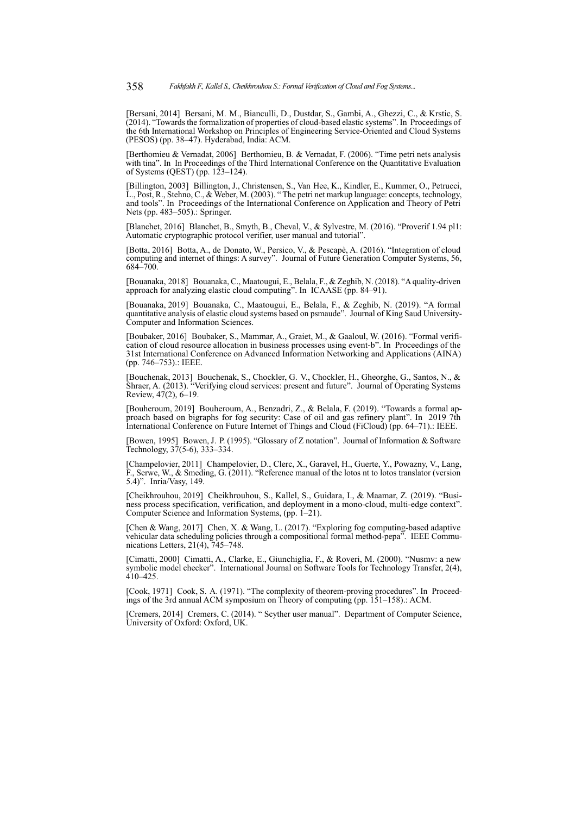[Bersani, 2014] Bersani, M. M., Bianculli, D., Dustdar, S., Gambi, A., Ghezzi, C., & Krstic, S. (2014). "Towards the formalization of properties of cloud-based elastic systems". In Proceedings of the 6th International Workshop on Principles of Engineering Service-Oriented and Cloud Systems (PESOS) (pp. 38–47). Hyderabad, India: ACM.

[Berthomieu & Vernadat, 2006] Berthomieu, B. & Vernadat, F. (2006). "Time petri nets analysis with tina". In In Proceedings of the Third International Conference on the Quantitative Evaluation of Systems (QEST) (pp. 123–124).

[Billington, 2003] Billington, J., Christensen, S., Van Hee, K., Kindler, E., Kummer, O., Petrucci, L., Post, R., Stehno, C., & Weber, M. (2003). " The petri net markup language: concepts, technology, and tools". In Proceedings of the International Conference on Application and Theory of Petri Nets (pp. 483–505).: Springer.

[Blanchet, 2016] Blanchet, B., Smyth, B., Cheval, V., & Sylvestre, M. (2016). "Proverif 1.94 pl1: Automatic cryptographic protocol verifier, user manual and tutorial".

[Botta, 2016] Botta, A., de Donato, W., Persico, V., & Pescapè, A. (2016). "Integration of cloud computing and internet of things: A survey". Journal of Future Generation Computer Systems, 56, 684–700.

[Bouanaka, 2018] Bouanaka, C., Maatougui, E., Belala, F., & Zeghib, N. (2018). "A quality-driven approach for analyzing elastic cloud computing". In ICAASE (pp. 84–91).

[Bouanaka, 2019] Bouanaka, C., Maatougui, E., Belala, F., & Zeghib, N. (2019). "A formal quantitative analysis of elastic cloud systems based on psmaude". Journal of King Saud University-Computer and Information Sciences.

[Boubaker, 2016] Boubaker, S., Mammar, A., Graiet, M., & Gaaloul, W. (2016). "Formal verification of cloud resource allocation in business processes using event-b". In Proceedings of the 31st International Conference on Advanced Information Networking and Applications (AINA) (pp. 746–753).: IEEE.

[Bouchenak, 2013] Bouchenak, S., Chockler, G. V., Chockler, H., Gheorghe, G., Santos, N., & Shraer, A. (2013). "Verifying cloud services: present and future". Journal of Operating Systems Review, 47(2), 6–19.

[Bouheroum, 2019] Bouheroum, A., Benzadri, Z., & Belala, F. (2019). "Towards a formal approach based on bigraphs for fog security: Case of oil and gas refinery plant". In 2019 7th International Conference on Future Internet of Things and Cloud (FiCloud) (pp. 64–71).: IEEE.

[Bowen, 1995] Bowen, J. P. (1995). "Glossary of Z notation". Journal of Information & Software Technology, 37(5-6), 333–334.

[Champelovier, 2011] Champelovier, D., Clerc, X., Garavel, H., Guerte, Y., Powazny, V., Lang, F., Serwe, W., & Smeding, G. (2011). "Reference manual of the lotos nt to lotos translator (version 5.4)". Inria/Vasy, 149.

[Cheikhrouhou, 2019] Cheikhrouhou, S., Kallel, S., Guidara, I., & Maamar, Z. (2019). "Business process specification, verification, and deployment in a mono-cloud, multi-edge context". Computer Science and Information Systems, (pp. 1–21).

[Chen & Wang, 2017] Chen, X. & Wang, L. (2017). "Exploring fog computing-based adaptive vehicular data scheduling policies through a compositional formal method-pepa". IEEE Communications Letters, 21(4), 745–748.

[Cimatti, 2000] Cimatti, A., Clarke, E., Giunchiglia, F., & Roveri, M. (2000). "Nusmv: a new symbolic model checker". International Journal on Software Tools for Technology Transfer, 2(4), 410–425.

[Cook, 1971] Cook, S. A. (1971). "The complexity of theorem-proving procedures". In Proceedings of the 3rd annual ACM symposium on Theory of computing (pp. 151–158).: ACM.

[Cremers, 2014] Cremers, C. (2014). " Scyther user manual". Department of Computer Science, University of Oxford: Oxford, UK.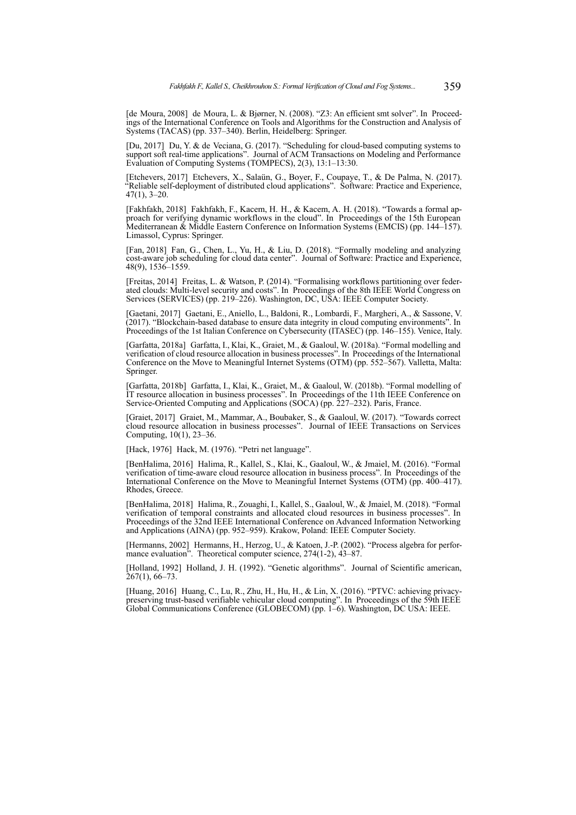[de Moura, 2008] de Moura, L. & Bjørner, N. (2008). "Z3: An efficient smt solver". In Proceedings of the International Conference on Tools and Algorithms for the Construction and Analysis of Systems (TACAS) (pp. 337–340). Berlin, Heidelberg: Springer.

[Du, 2017] Du, Y. & de Veciana, G. (2017). "Scheduling for cloud-based computing systems to support soft real-time applications". Journal of ACM Transactions on Modeling and Performance Evaluation of Computing Systems (TOMPECS), 2(3), 13:1–13:30.

[Etchevers, 2017] Etchevers, X., Salaün, G., Boyer, F., Coupaye, T., & De Palma, N. (2017). "Reliable self-deployment of distributed cloud applications". Software: Practice and Experience, 47(1), 3–20.

[Fakhfakh, 2018] Fakhfakh, F., Kacem, H. H., & Kacem, A. H. (2018). "Towards a formal approach for verifying dynamic workflows in the cloud". In Proceedings of the 15th European Mediterranean & Middle Eastern Conference on Information Systems (EMCIS) (pp. 144–157). Limassol, Cyprus: Springer.

[Fan, 2018] Fan, G., Chen, L., Yu, H., & Liu, D. (2018). "Formally modeling and analyzing cost-aware job scheduling for cloud data center". Journal of Software: Practice and Experience, 48(9), 1536–1559.

[Freitas, 2014] Freitas, L. & Watson, P. (2014). "Formalising workflows partitioning over federated clouds: Multi-level security and costs". In Proceedings of the 8th IEEE World Congress on Services (SERVICES) (pp. 219–226). Washington, DC, USA: IEEE Computer Society.

[Gaetani, 2017] Gaetani, E., Aniello, L., Baldoni, R., Lombardi, F., Margheri, A., & Sassone, V. (2017). "Blockchain-based database to ensure data integrity in cloud computing environments". In Proceedings of the 1st Italian Conference on Cybersecurity (ITASEC) (pp. 146–155). Venice, Italy.

[Garfatta, 2018a] Garfatta, I., Klai, K., Graiet, M., & Gaaloul, W. (2018a). "Formal modelling and verification of cloud resource allocation in business processes". In Proceedings of the International Conference on the Move to Meaningful Internet Systems (OTM) (pp. 552–567). Valletta, Malta: Springer.

[Garfatta, 2018b] Garfatta, I., Klai, K., Graiet, M., & Gaaloul, W. (2018b). "Formal modelling of IT resource allocation in business processes". In Proceedings of the 11th IEEE Conference on Service-Oriented Computing and Applications (SOCA) (pp. 227–232). Paris, France.

[Graiet, 2017] Graiet, M., Mammar, A., Boubaker, S., & Gaaloul, W. (2017). "Towards correct cloud resource allocation in business processes". Journal of IEEE Transactions on Services Computing, 10(1), 23–36.

[Hack, 1976] Hack, M. (1976). "Petri net language".

[BenHalima, 2016] Halima, R., Kallel, S., Klai, K., Gaaloul, W., & Jmaiel, M. (2016). "Formal verification of time-aware cloud resource allocation in business process". In Proceedings of the International Conference on the Move to Meaningful Internet Systems (OTM) (pp. 400–417). Rhodes, Greece.

[BenHalima, 2018] Halima, R., Zouaghi, I., Kallel, S., Gaaloul, W., & Jmaiel, M. (2018). "Formal verification of temporal constraints and allocated cloud resources in business processes". In Proceedings of the 32nd IEEE International Conference on Advanced Information Networking and Applications (AINA) (pp. 952–959). Krakow, Poland: IEEE Computer Society.

[Hermanns, 2002] Hermanns, H., Herzog, U., & Katoen, J.-P. (2002). "Process algebra for performance evaluation". Theoretical computer science, 274(1-2), 43–87.

[Holland, 1992] Holland, J. H. (1992). "Genetic algorithms". Journal of Scientific american,  $267(1)$ , 66–73.

[Huang, 2016] Huang, C., Lu, R., Zhu, H., Hu, H., & Lin, X. (2016). "PTVC: achieving privacypreserving trust-based verifiable vehicular cloud computing". In Proceedings of the 59th IEEE Global Communications Conference (GLOBECOM) (pp. 1–6). Washington, DC USA: IEEE.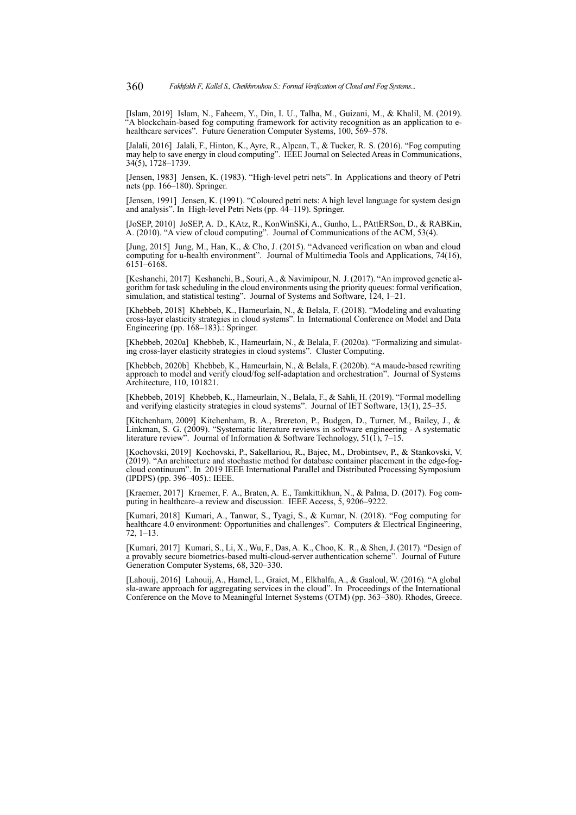[Islam, 2019] Islam, N., Faheem, Y., Din, I. U., Talha, M., Guizani, M., & Khalil, M. (2019). "A blockchain-based fog computing framework for activity recognition as an application to ehealthcare services". Future Generation Computer Systems, 100, 569–578.

[Jalali, 2016] Jalali, F., Hinton, K., Ayre, R., Alpcan, T., & Tucker, R. S. (2016). "Fog computing may help to save energy in cloud computing". IEEE Journal on Selected Areas in Communications, 34(5), 1728–1739.

[Jensen, 1983] Jensen, K. (1983). "High-level petri nets". In Applications and theory of Petri nets (pp. 166–180). Springer.

[Jensen, 1991] Jensen, K. (1991). "Coloured petri nets: A high level language for system design and analysis". In High-level Petri Nets (pp. 44–119). Springer.

[JoSEP, 2010] JoSEP, A. D., KAtz, R., KonWinSKi, A., Gunho, L., PAttERSon, D., & RABKin, A. (2010). "A view of cloud computing". Journal of Communications of the ACM, 53(4).

[Jung, 2015] Jung, M., Han, K., & Cho, J. (2015). "Advanced verification on wban and cloud computing for u-health environment". Journal of Multimedia Tools and Applications, 74(16), 6151–6168.

[Keshanchi, 2017] Keshanchi, B., Souri, A., & Navimipour, N. J. (2017). "An improved genetic algorithm for task scheduling in the cloud environments using the priority queues: formal verification, simulation, and statistical testing". Journal of Systems and Software, 124, 1–21.

[Khebbeb, 2018] Khebbeb, K., Hameurlain, N., & Belala, F. (2018). "Modeling and evaluating cross-layer elasticity strategies in cloud systems". In International Conference on Model and Data Engineering (pp. 168–183).: Springer.

[Khebbeb, 2020a] Khebbeb, K., Hameurlain, N., & Belala, F. (2020a). "Formalizing and simulating cross-layer elasticity strategies in cloud systems". Cluster Computing.

[Khebbeb, 2020b] Khebbeb, K., Hameurlain, N., & Belala, F. (2020b). "A maude-based rewriting approach to model and verify cloud/fog self-adaptation and orchestration". Journal of Systems Architecture, 110, 101821.

[Khebbeb, 2019] Khebbeb, K., Hameurlain, N., Belala, F., & Sahli, H. (2019). "Formal modelling and verifying elasticity strategies in cloud systems". Journal of IET Software, 13(1), 25–35.

[Kitchenham, 2009] Kitchenham, B. A., Brereton, P., Budgen, D., Turner, M., Bailey, J., & Linkman, S. G. (2009). "Systematic literature reviews in software engineering - A systematic literature review". Journal of Information & Software Technology,  $51(1)$ ,  $7-15$ .

[Kochovski, 2019] Kochovski, P., Sakellariou, R., Bajec, M., Drobintsev, P., & Stankovski, V. (2019). "An architecture and stochastic method for database container placement in the edge-fogcloud continuum". In 2019 IEEE International Parallel and Distributed Processing Symposium (IPDPS) (pp. 396–405).: IEEE.

[Kraemer, 2017] Kraemer, F. A., Braten, A. E., Tamkittikhun, N., & Palma, D. (2017). Fog computing in healthcare–a review and discussion. IEEE Access, 5, 9206–9222.

[Kumari, 2018] Kumari, A., Tanwar, S., Tyagi, S., & Kumar, N. (2018). "Fog computing for healthcare 4.0 environment: Opportunities and challenges". Computers & Electrical Engineering, 72, 1–13.

[Kumari, 2017] Kumari, S., Li, X., Wu, F., Das, A. K., Choo, K. R., & Shen, J. (2017). "Design of a provably secure biometrics-based multi-cloud-server authentication scheme". Journal of Future Generation Computer Systems, 68, 320–330.

[Lahouij, 2016] Lahouij, A., Hamel, L., Graiet, M., Elkhalfa, A., & Gaaloul, W. (2016). "A global sla-aware approach for aggregating services in the cloud". In Proceedings of the International Conference on the Move to Meaningful Internet Systems (OTM) (pp. 363–380). Rhodes, Greece.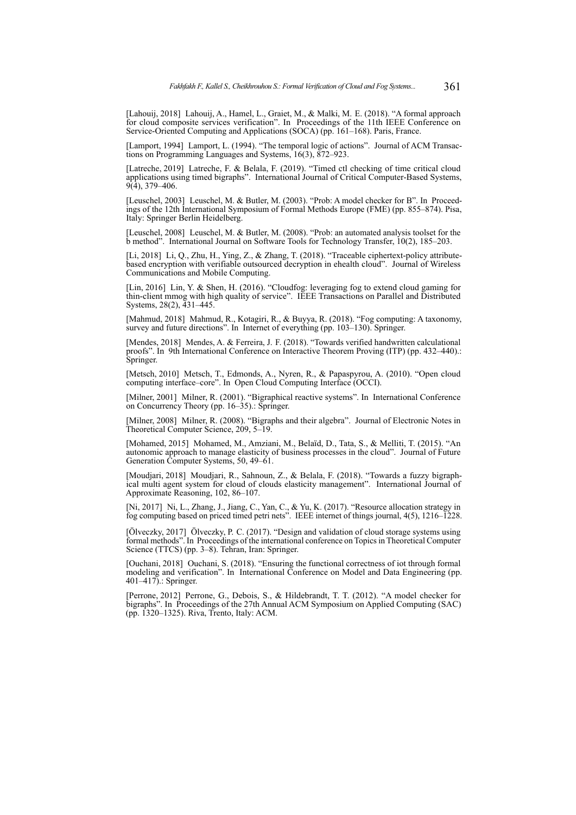[Lahouij, 2018] Lahouij, A., Hamel, L., Graiet, M., & Malki, M. E. (2018). "A formal approach for cloud composite services verification". In Proceedings of the 11th IEEE Conference on Service-Oriented Computing and Applications (SOCA) (pp. 161–168). Paris, France.

[Lamport, 1994] Lamport, L. (1994). "The temporal logic of actions". Journal of ACM Transactions on Programming Languages and Systems, 16(3), 872–923.

[Latreche, 2019] Latreche, F. & Belala, F. (2019). "Timed ctl checking of time critical cloud applications using timed bigraphs". International Journal of Critical Computer-Based Systems,  $9(4)$ , 379–406.

[Leuschel, 2003] Leuschel, M. & Butler, M. (2003). "Prob: A model checker for B". In Proceedings of the 12th International Symposium of Formal Methods Europe (FME) (pp. 855–874). Pisa, Italy: Springer Berlin Heidelberg.

[Leuschel, 2008] Leuschel, M. & Butler, M. (2008). "Prob: an automated analysis toolset for the b method". International Journal on Software Tools for Technology Transfer, 10(2), 185–203.

[Li, 2018] Li, Q., Zhu, H., Ying, Z., & Zhang, T. (2018). "Traceable ciphertext-policy attributebased encryption with verifiable outsourced decryption in ehealth cloud". Journal of Wireless Communications and Mobile Computing.

[Lin, 2016] Lin, Y. & Shen, H. (2016). "Cloudfog: leveraging fog to extend cloud gaming for thin-client mmog with high quality of service". IEEE Transactions on Parallel and Distributed Systems, 28(2), 431–445.

[Mahmud, 2018] Mahmud, R., Kotagiri, R., & Buyya, R. (2018). "Fog computing: A taxonomy, survey and future directions". In Internet of everything (pp. 103–130). Springer.

[Mendes, 2018] Mendes, A. & Ferreira, J. F. (2018). "Towards verified handwritten calculational proofs". In 9th International Conference on Interactive Theorem Proving (ITP) (pp. 432–440).: Springer.

[Metsch, 2010] Metsch, T., Edmonds, A., Nyren, R., & Papaspyrou, A. (2010). "Open cloud computing interface–core". In Open Cloud Computing Interface (OCCI).

[Milner, 2001] Milner, R. (2001). "Bigraphical reactive systems". In International Conference on Concurrency Theory (pp. 16–35).: Springer.

[Milner, 2008] Milner, R. (2008). "Bigraphs and their algebra". Journal of Electronic Notes in Theoretical Computer Science, 209, 5–19.

[Mohamed, 2015] Mohamed, M., Amziani, M., Belaïd, D., Tata, S., & Melliti, T. (2015). "An autonomic approach to manage elasticity of business processes in the cloud". Journal of Future Generation Computer Systems, 50, 49–61.

[Moudjari, 2018] Moudjari, R., Sahnoun, Z., & Belala, F. (2018). "Towards a fuzzy bigraphical multi agent system for cloud of clouds elasticity management". International Journal of Approximate Reasoning, 102, 86–107.

[Ni, 2017] Ni, L., Zhang, J., Jiang, C., Yan, C., & Yu, K. (2017). "Resource allocation strategy in fog computing based on priced timed petri nets". IEEE internet of things journal, 4(5), 1216–1228.

[Ölveczky, 2017] Ölveczky, P. C. (2017). "Design and validation of cloud storage systems using formal methods". In Proceedings of the international conference on Topics in Theoretical Computer Science (TTCS) (pp. 3–8). Tehran, Iran: Springer.

[Ouchani, 2018] Ouchani, S. (2018). "Ensuring the functional correctness of iot through formal modeling and verification". In International Conference on Model and Data Engineering (pp. 401–417).: Springer.

[Perrone, 2012] Perrone, G., Debois, S., & Hildebrandt, T. T. (2012). "A model checker for bigraphs". In Proceedings of the 27th Annual ACM Symposium on Applied Computing (SAC) (pp. 1320–1325). Riva, Trento, Italy: ACM.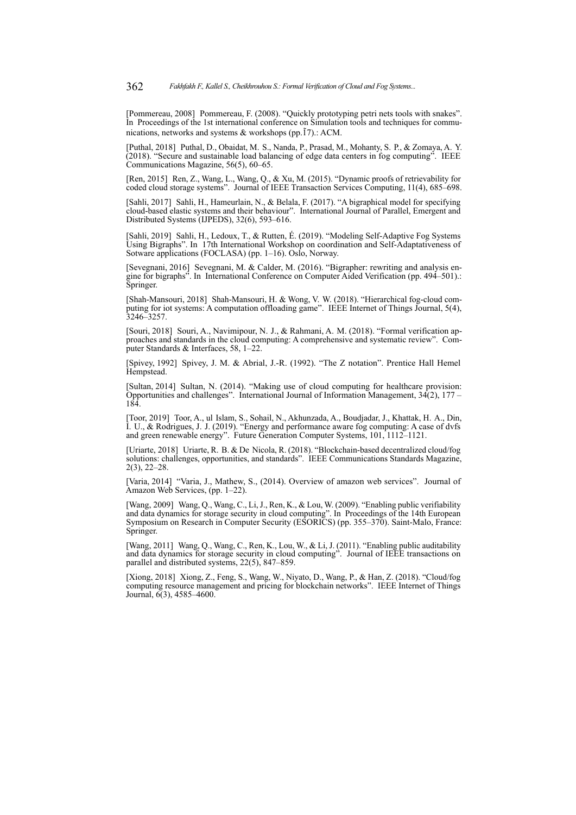[Pommereau, 2008] Pommereau, F. (2008). "Quickly prototyping petri nets tools with snakes". In Proceedings of the 1st international conference on Simulation tools and techniques for communications, networks and systems & workshops (pp.1̃7).: ACM.

[Puthal, 2018] Puthal, D., Obaidat, M. S., Nanda, P., Prasad, M., Mohanty, S. P., & Zomaya, A. Y. (2018). "Secure and sustainable load balancing of edge data centers in fog computing". IEEE Communications Magazine, 56(5), 60–65.

[Ren, 2015] Ren, Z., Wang, L., Wang, Q., & Xu, M. (2015). "Dynamic proofs of retrievability for coded cloud storage systems". Journal of IEEE Transaction Services Computing, 11(4), 685–698.

[Sahli, 2017] Sahli, H., Hameurlain, N., & Belala, F. (2017). "A bigraphical model for specifying cloud-based elastic systems and their behaviour". International Journal of Parallel, Emergent and Distributed Systems (IJPEDS), 32(6), 593–616.

[Sahli, 2019] Sahli, H., Ledoux, T., & Rutten, É. (2019). "Modeling Self-Adaptive Fog Systems Using Bigraphs". In 17th International Workshop on coordination and Self-Adaptativeness of Sotware applications (FOCLASA) (pp. 1-16). Oslo, Norway.

[Sevegnani, 2016] Sevegnani, M. & Calder, M. (2016). "Bigrapher: rewriting and analysis engine for bigraphs". In International Conference on Computer Aided Verification (pp. 494–501).: Springer.

[Shah-Mansouri, 2018] Shah-Mansouri, H. & Wong, V. W. (2018). "Hierarchical fog-cloud computing for iot systems: A computation offloading game". IEEE Internet of Things Journal, 5(4),  $3246 - 3257$ 

[Souri, 2018] Souri, A., Navimipour, N. J., & Rahmani, A. M. (2018). "Formal verification approaches and standards in the cloud computing: A comprehensive and systematic review". Computer Standards & Interfaces, 58, 1–22.

[Spivey, 1992] Spivey, J. M. & Abrial, J.-R. (1992). "The Z notation". Prentice Hall Hemel Hempstead.

[Sultan, 2014] Sultan, N. (2014). "Making use of cloud computing for healthcare provision: Opportunities and challenges". International Journal of Information Management,  $34(2)$ ,  $177 -$ 184.

[Toor, 2019] Toor, A., ul Islam, S., Sohail, N., Akhunzada, A., Boudjadar, J., Khattak, H. A., Din, I. U., & Rodrigues, J. J. (2019). "Energy and performance aware fog computing: A case of dvfs and green renewable energy". Future Generation Computer Systems, 101, 1112–1121.

[Uriarte, 2018] Uriarte, R. B. & De Nicola, R. (2018). "Blockchain-based decentralized cloud/fog solutions: challenges, opportunities, and standards". IEEE Communications Standards Magazine, 2(3), 22–28.

[Varia, 2014] "Varia, J., Mathew, S., (2014). Overview of amazon web services". Journal of Amazon Web Services, (pp. 1–22).

[Wang, 2009] Wang, Q., Wang, C., Li, J., Ren, K., & Lou, W. (2009). "Enabling public verifiability and data dynamics for storage security in cloud computing". In Proceedings of the 14th European Symposium on Research in Computer Security (ESORICS) (pp. 355–370). Saint-Malo, France: Springer.

[Wang, 2011] Wang, Q., Wang, C., Ren, K., Lou, W., & Li, J. (2011). "Enabling public auditability and data dynamics for storage security in cloud computing". Journal of IEEE transactions on parallel and distributed systems, 22(5), 847–859.

[Xiong, 2018] Xiong, Z., Feng, S., Wang, W., Niyato, D., Wang, P., & Han, Z. (2018). "Cloud/fog computing resource management and pricing for blockchain networks". IEEE Internet of Things Journal, 6(3), 4585–4600.